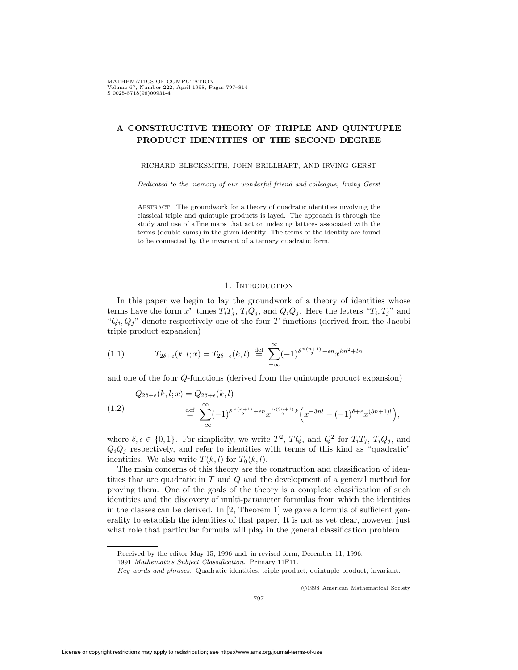# **A CONSTRUCTIVE THEORY OF TRIPLE AND QUINTUPLE PRODUCT IDENTITIES OF THE SECOND DEGREE**

RICHARD BLECKSMITH, JOHN BRILLHART, AND IRVING GERST

*Dedicated to the memory of our wonderful friend and colleague, Irving Gerst*

Abstract. The groundwork for a theory of quadratic identities involving the classical triple and quintuple products is layed. The approach is through the study and use of affine maps that act on indexing lattices associated with the terms (double sums) in the given identity. The terms of the identity are found to be connected by the invariant of a ternary quadratic form.

#### 1. INTRODUCTION

In this paper we begin to lay the groundwork of a theory of identities whose terms have the form  $x^n$  times  $T_iT_j$ ,  $T_iQ_j$ , and  $Q_iQ_j$ . Here the letters " $T_i$ ,  $T_j$ " and " $Q_i, Q_j$ " denote respectively one of the four *T*-functions (derived from the Jacobi triple product expansion)

(1.1) 
$$
T_{2\delta+\epsilon}(k,l;x) = T_{2\delta+\epsilon}(k,l) \stackrel{\text{def}}{=} \sum_{-\infty}^{\infty} (-1)^{\delta \frac{n(n+1)}{2} + \epsilon n} x^{kn^2 + ln}
$$

and one of the four *Q*-functions (derived from the quintuple product expansion)

(1.2) 
$$
Q_{2\delta+\epsilon}(k,l;x) = Q_{2\delta+\epsilon}(k,l)
$$

$$
\stackrel{\text{def}}{=} \sum_{-\infty}^{\infty} (-1)^{\delta \frac{n(n+1)}{2} + \epsilon n} x^{\frac{n(3n+1)}{2}k} \left(x^{-3nl} - (-1)^{\delta+\epsilon} x^{(3n+1)l}\right),
$$

where  $\delta, \epsilon \in \{0, 1\}$ . For simplicity, we write  $T^2$ ,  $TQ$ , and  $Q^2$  for  $T_iT_j$ ,  $T_iQ_j$ , and  $Q_iQ_j$  respectively, and refer to identities with terms of this kind as "quadratic" identities. We also write  $T(k, l)$  for  $T_0(k, l)$ .

The main concerns of this theory are the construction and classification of identities that are quadratic in *T* and *Q* and the development of a general method for proving them. One of the goals of the theory is a complete classification of such identities and the discovery of multi-parameter formulas from which the identities in the classes can be derived. In  $[2,$  Theorem 1 we gave a formula of sufficient generality to establish the identities of that paper. It is not as yet clear, however, just what role that particular formula will play in the general classification problem.

<sup>c</sup> 1998 American Mathematical Society

Received by the editor May 15, 1996 and, in revised form, December 11, 1996.

<sup>1991</sup> *Mathematics Subject Classification.* Primary 11F11.

*Key words and phrases.* Quadratic identities, triple product, quintuple product, invariant.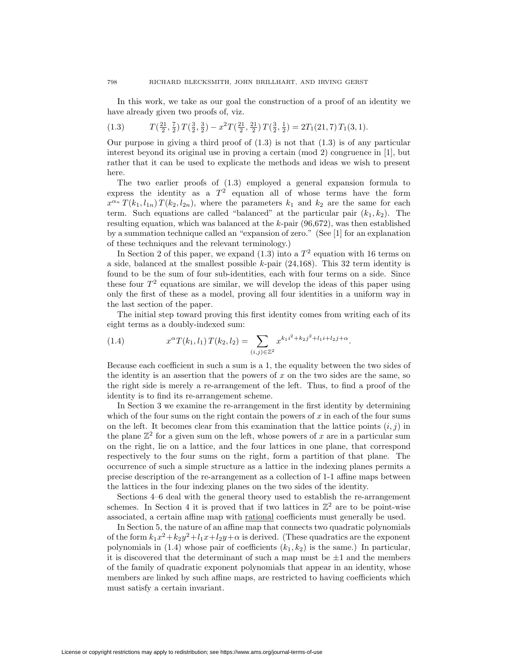In this work, we take as our goal the construction of a proof of an identity we have already given two proofs of, viz.

(1.3) 
$$
T(\frac{21}{2}, \frac{7}{2}) T(\frac{3}{2}, \frac{3}{2}) - x^2 T(\frac{21}{2}, \frac{21}{2}) T(\frac{3}{2}, \frac{1}{2}) = 2T_1(21, 7) T_1(3, 1).
$$

Our purpose in giving a third proof of  $(1.3)$  is not that  $(1.3)$  is of any particular interest beyond its original use in proving a certain (mod 2) congruence in [1], but rather that it can be used to explicate the methods and ideas we wish to present here.

The two earlier proofs of (1.3) employed a general expansion formula to express the identity as a  $T^2$  equation all of whose terms have the form  $x^{\alpha_n} T(k_1, l_{1n}) T(k_2, l_{2n})$ , where the parameters  $k_1$  and  $k_2$  are the same for each term. Such equations are called "balanced" at the particular pair  $(k_1, k_2)$ . The resulting equation, which was balanced at the *k*-pair (96,672), was then established by a summation technique called an "expansion of zero." (See [1] for an explanation of these techniques and the relevant terminology.)

In Section 2 of this paper, we expand  $(1.3)$  into a  $T<sup>2</sup>$  equation with 16 terms on a side, balanced at the smallest possible *k*-pair (24,168). This 32 term identity is found to be the sum of four sub-identities, each with four terms on a side. Since these four  $T<sup>2</sup>$  equations are similar, we will develop the ideas of this paper using only the first of these as a model, proving all four identities in a uniform way in the last section of the paper.

The initial step toward proving this first identity comes from writing each of its eight terms as a doubly-indexed sum:

(1.4) 
$$
x^{\alpha}T(k_1, l_1)T(k_2, l_2) = \sum_{(i,j)\in\mathbb{Z}^2} x^{k_1i^2 + k_2j^2 + l_1i + l_2j + \alpha}.
$$

Because each coefficient in such a sum is a 1, the equality between the two sides of the identity is an assertion that the powers of *x* on the two sides are the same, so the right side is merely a re-arrangement of the left. Thus, to find a proof of the identity is to find its re-arrangement scheme.

In Section 3 we examine the re-arrangement in the first identity by determining which of the four sums on the right contain the powers of *x* in each of the four sums on the left. It becomes clear from this examination that the lattice points  $(i, j)$  in the plane  $\mathbb{Z}^2$  for a given sum on the left, whose powers of x are in a particular sum on the right, lie on a lattice, and the four lattices in one plane, that correspond respectively to the four sums on the right, form a partition of that plane. The occurrence of such a simple structure as a lattice in the indexing planes permits a precise description of the re-arrangement as a collection of 1-1 affine maps between the lattices in the four indexing planes on the two sides of the identity.

Sections 4–6 deal with the general theory used to establish the re-arrangement schemes. In Section 4 it is proved that if two lattices in  $\mathbb{Z}^2$  are to be point-wise associated, a certain affine map with rational coefficients must generally be used.

In Section 5, the nature of an affine map that connects two quadratic polynomials of the form  $k_1x^2+k_2y^2+l_1x+l_2y+\alpha$  is derived. (These quadratics are the exponent polynomials in  $(1.4)$  whose pair of coefficients  $(k_1, k_2)$  is the same.) In particular, it is discovered that the determinant of such a map must be  $\pm 1$  and the members of the family of quadratic exponent polynomials that appear in an identity, whose members are linked by such affine maps, are restricted to having coefficients which must satisfy a certain invariant.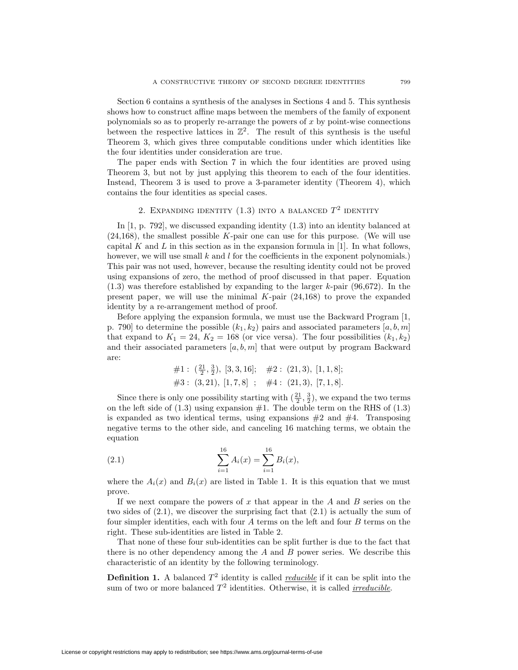Section 6 contains a synthesis of the analyses in Sections 4 and 5. This synthesis shows how to construct affine maps between the members of the family of exponent polynomials so as to properly re-arrange the powers of *x* by point-wise connections between the respective lattices in  $\mathbb{Z}^2$ . The result of this synthesis is the useful Theorem 3, which gives three computable conditions under which identities like the four identities under consideration are true.

The paper ends with Section 7 in which the four identities are proved using Theorem 3, but not by just applying this theorem to each of the four identities. Instead, Theorem 3 is used to prove a 3-parameter identity (Theorem 4), which contains the four identities as special cases.

# 2. EXPANDING IDENTITY  $(1.3)$  INTO A BALANCED  $T^2$  IDENTITY

In [1, p. 792], we discussed expanding identity (1.3) into an identity balanced at (24,168), the smallest possible *K*-pair one can use for this purpose. (We will use capital  $K$  and  $L$  in this section as in the expansion formula in [1]. In what follows, however, we will use small k and l for the coefficients in the exponent polynomials.) This pair was not used, however, because the resulting identity could not be proved using expansions of zero, the method of proof discussed in that paper. Equation (1.3) was therefore established by expanding to the larger *k*-pair (96,672). In the present paper, we will use the minimal *K*-pair (24,168) to prove the expanded identity by a re-arrangement method of proof.

Before applying the expansion formula, we must use the Backward Program [1, p. 790] to determine the possible  $(k_1, k_2)$  pairs and associated parameters  $[a, b, m]$ that expand to  $K_1 = 24$ ,  $K_2 = 168$  (or vice versa). The four possibilities  $(k_1, k_2)$ and their associated parameters [*a, b, m*] that were output by program Backward are:

#1: 
$$
(\frac{21}{2}, \frac{3}{2})
$$
, [3, 3, 16]; #2: (21, 3), [1, 1, 8];  
#3: (3, 21), [1, 7, 8]; #4: (21, 3), [7, 1, 8].

Since there is only one possibility starting with  $(\frac{21}{2}, \frac{3}{2})$ , we expand the two terms on the left side of  $(1.3)$  using expansion  $#1$ . The double term on the RHS of  $(1.3)$ is expanded as two identical terms, using expansions  $#2$  and  $#4$ . Transposing negative terms to the other side, and canceling 16 matching terms, we obtain the equation

(2.1) 
$$
\sum_{i=1}^{16} A_i(x) = \sum_{i=1}^{16} B_i(x),
$$

where the  $A_i(x)$  and  $B_i(x)$  are listed in Table 1. It is this equation that we must prove.

If we next compare the powers of *x* that appear in the *A* and *B* series on the two sides of  $(2.1)$ , we discover the surprising fact that  $(2.1)$  is actually the sum of four simpler identities, each with four *A* terms on the left and four *B* terms on the right. These sub-identities are listed in Table 2.

That none of these four sub-identities can be split further is due to the fact that there is no other dependency among the *A* and *B* power series. We describe this characteristic of an identity by the following terminology.

**Definition 1.** A balanced  $T^2$  identity is called *<u>reducible</u>* if it can be split into the sum of two or more balanced  $T^2$  identities. Otherwise, it is called *irreducible*.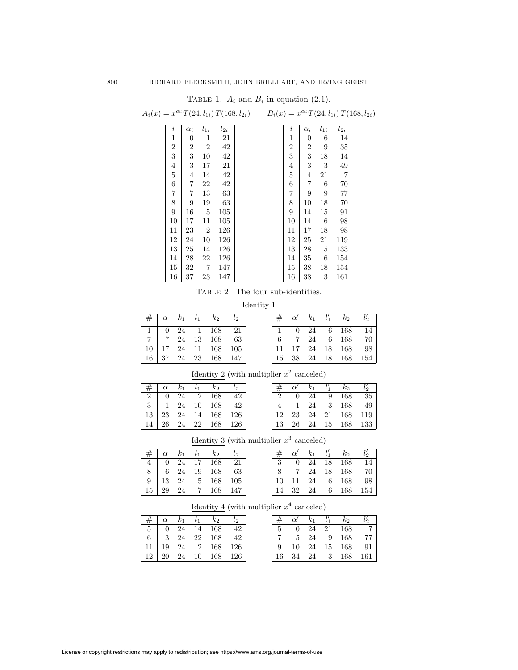TABLE 1.  $A_i$  and  $B_i$  in equation (2.1).

|                         |                |                | $-1$     |                                                                                                           | $\frac{1}{2}$ and $\frac{1}{2}$ are equal to $\frac{1}{2}$ . |                  |                  |          |          |
|-------------------------|----------------|----------------|----------|-----------------------------------------------------------------------------------------------------------|--------------------------------------------------------------|------------------|------------------|----------|----------|
|                         |                |                |          | $A_i(x) = x^{\alpha_i} T(24, l_{1i}) T(168, l_{2i})$ $B_i(x) = x^{\alpha_i} T(24, l_{1i}) T(168, l_{2i})$ |                                                              |                  |                  |          |          |
| $\imath$                | $\alpha_i$     | $l_{1i}$       | $l_{2i}$ |                                                                                                           |                                                              | $\imath$         | $\alpha_i$       | $l_{1i}$ | $l_{2i}$ |
| $\mathbf{1}$            | $\overline{0}$ | 1              | 21       |                                                                                                           |                                                              | 1                | 0                | 6        | 14       |
| $\boldsymbol{2}$        | 2              | $\overline{2}$ | 42       |                                                                                                           |                                                              | $\boldsymbol{2}$ | $\boldsymbol{2}$ | 9        | 35       |
| 3                       | 3              | 10             | 42       |                                                                                                           |                                                              | 3                | 3                | 18       | 14       |
| $\overline{4}$          | 3              | 17             | 21       |                                                                                                           |                                                              | $\overline{4}$   | 3                | 3        | 49       |
| $\overline{5}$          | 4              | 14             | 42       |                                                                                                           |                                                              | $\overline{5}$   | 4                | 21       | 7        |
| 6                       | 7              | 22             | 42       |                                                                                                           |                                                              | 6                | $\overline{7}$   | 6        | 70       |
| $\overline{\mathbf{7}}$ | 7              | 13             | 63       |                                                                                                           |                                                              | $\overline{7}$   | 9                | 9        | 77       |
| $8\,$                   | 9              | 19             | 63       |                                                                                                           |                                                              | 8                | 10               | 18       | 70       |
| $\boldsymbol{9}$        | 16             | - 5            | 105      |                                                                                                           |                                                              | 9                | 14               | 15       | 91       |
| 10                      | 17             | 11             | 105      |                                                                                                           |                                                              | 10               | 14               | 6        | 98       |
| 11                      | 23             | $\overline{2}$ | 126      |                                                                                                           |                                                              | 11               | 17               | 18       | 98       |
| 12                      | 24             | 10             | 126      |                                                                                                           |                                                              | 12               | 25               | 21       | 119      |
| 13                      | 25             | 14             | 126      |                                                                                                           |                                                              | 13               | 28               | 15       | 133      |
| 14                      | 28             | 22             | 126      |                                                                                                           |                                                              | 14               | 35               | - 6      | 154      |
| 15                      | 32             | -7             | 147      |                                                                                                           |                                                              | 15               | 38               | 18       | 154      |
| 16                      | 37             | 23             | 147      |                                                                                                           |                                                              | 16               | 38               | 3        | 161      |

TABLE 2. The four sub-identities.

Identity 1

|  |  | $\left  \# \right  \alpha \quad k_1 \quad l_1 \quad k_2 \quad l_2$ |  |  | $\#$ $\alpha'$ $k_1$ $l'_1$ $k_2$ $l'_2$                           |  |
|--|--|--------------------------------------------------------------------|--|--|--------------------------------------------------------------------|--|
|  |  | 1 0 24 1 168 21                                                    |  |  | $1 \t 0 \t 24 \t 6 \t 168 \t 14$                                   |  |
|  |  |                                                                    |  |  | 6 7 24 6 168 70                                                    |  |
|  |  | 10 17 24 11 168 105                                                |  |  | 11 17 24 18 168 98                                                 |  |
|  |  | 16   37   24   23   168   147                                      |  |  | $\begin{array}{c ccccc} 15 & 38 & 24 & 18 & 168 & 154 \end{array}$ |  |

<u>Identity 2</u> (with multiplier  $x^2$  canceled)

|  |  | $\#$ $\alpha$ $k_1$ $l_1$ $k_2$ $l_2$                                                                                              |  | $\#$ $\alpha'$ $k_1$ $l$                                                                                                 |  |
|--|--|------------------------------------------------------------------------------------------------------------------------------------|--|--------------------------------------------------------------------------------------------------------------------------|--|
|  |  | $2 \begin{pmatrix} 0 & 2\overline{4} & 2 & 168 & 42 \end{pmatrix}$                                                                 |  |                                                                                                                          |  |
|  |  |                                                                                                                                    |  |                                                                                                                          |  |
|  |  |                                                                                                                                    |  |                                                                                                                          |  |
|  |  | $\begin{array}{c cccccc} 3 & 1 & 24 & 10 & 168 & 42 \\ 13 & 23 & 24 & 14 & 168 & 126 \\ 14 & 26 & 24 & 22 & 168 & 126 \end{array}$ |  | $\begin{array}{ c ccccc } \hline 2 & 0 & 24 \\ 4 & 1 & 24 \\ 12 & 23 & 24 & 2 \\ 13 & 26 & 24 & 1 \\ \hline \end{array}$ |  |

|  |  | $# \begin{bmatrix} \alpha & k_1 & l_1 & k_2 & l_2 \end{bmatrix}$ |  |  |  | $\#$ $\alpha'$ $k_1$ $l'_1$ $k_2$ $l'_2$       |  |
|--|--|------------------------------------------------------------------|--|--|--|------------------------------------------------|--|
|  |  | 2 0 24 2 168 42                                                  |  |  |  | 2 0 24 9 168 35                                |  |
|  |  | $3 \mid 1 \quad 24 \quad 10 \quad 168 \quad 42$                  |  |  |  | $4 \mid 1 \quad 24 \quad 3 \quad 168 \quad 49$ |  |
|  |  | 13   23 24 14 168 126                                            |  |  |  | $12 \mid 23 \mid 24 \mid 21 \mid 168 \mid 119$ |  |
|  |  | 14 26 24 22 168 126                                              |  |  |  | 13 26 24 15 168 133                            |  |

Identity 3 (with multiplier  $x^3$  canceled)

|  |  |                                                 | $\#$ $\alpha$ $k_1$ $l_1$ $k_2$ $l_2$         |  |                                                                | $\#$ $\alpha'$ $k_1$ $l$                                           |  |
|--|--|-------------------------------------------------|-----------------------------------------------|--|----------------------------------------------------------------|--------------------------------------------------------------------|--|
|  |  | $4 \mid 0 \quad 24 \quad 17 \quad 168 \quad 21$ |                                               |  |                                                                |                                                                    |  |
|  |  | 8 6 24 19 168 63                                |                                               |  |                                                                | $\begin{array}{c cc} 3 & 0 & 24 & 1 \\ 8 & 7 & 24 & 1 \end{array}$ |  |
|  |  | $9 \mid 13 \mid 24 \mid 5 \mid 168 \mid 105$    |                                               |  | $\begin{array}{c cc} 10 & 11 & 24 \\ 14 & 32 & 24 \end{array}$ |                                                                    |  |
|  |  |                                                 | $15 \mid 29 \mid 24 \mid 7 \mid 168 \mid 147$ |  |                                                                |                                                                    |  |

|  |  | $# \alpha$ $k_1$ $l_1$ $k_2$ | $l_2$ |  |  | $\#$ $\alpha'$ $k_1$ $l'_1$ $k_2$       |     |
|--|--|------------------------------|-------|--|--|-----------------------------------------|-----|
|  |  | $4 \mid 0$ 24 17 168 21      |       |  |  | $3 \mid 0$ 24 18 168                    |     |
|  |  | 8 6 24 19 168 63             |       |  |  | 8 7 24 18 168                           | 70  |
|  |  | 9   13 24 5 168 105          |       |  |  | $10 \mid 11 \quad 24 \quad 6 \quad 168$ | -98 |
|  |  | 15   29 24 7 168 147         |       |  |  | 14 32 24 6 168 154                      |     |

Identity 4 (with multiplier  $x^4$  canceled)

|  |  | $\left  \# \right  \alpha$ $k_1$ $l_1$ $k_2$ $\overline{l_2}$                             |  |  |  | $\# \alpha'$ $k_1$ $l'_1$ $k_2$ $l'_2$ |  |
|--|--|-------------------------------------------------------------------------------------------|--|--|--|----------------------------------------|--|
|  |  |                                                                                           |  |  |  | 5 0 24 21 168 7                        |  |
|  |  | $\begin{array}{ c c c c c c c c } \hline 6 & 3 & 24 & 22 & 168 & 42 \ \hline \end{array}$ |  |  |  | 7 5 24 9 168 77                        |  |
|  |  | 11   19 24 2 168 126                                                                      |  |  |  | 9 10 24 15 168 91                      |  |
|  |  | 12   20   24   10   168   126                                                             |  |  |  | 16 34 24 3 168 161                     |  |

|    | α  | k1 |    | $k_2$ |     |
|----|----|----|----|-------|-----|
| 5  | 0  | 24 | 21 | 168   |     |
|    | 5  | 24 | 9  | 168   | 77  |
| 9  | 10 | 24 | 15 | 168   | 91  |
| 16 |    | 24 | 3  | 168   | 161 |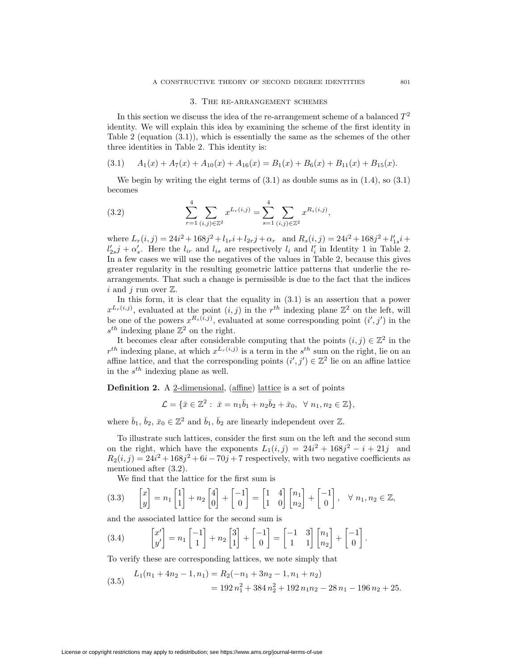#### 3. The re-arrangement schemes

In this section we discuss the idea of the re-arrangement scheme of a balanced  $T<sup>2</sup>$ identity. We will explain this idea by examining the scheme of the first identity in Table 2 (equation  $(3.1)$ ), which is essentially the same as the schemes of the other three identities in Table 2. This identity is:

$$
(3.1) \tA1(x) + A7(x) + A10(x) + A16(x) = B1(x) + B6(x) + B11(x) + B15(x).
$$

We begin by writing the eight terms of  $(3.1)$  as double sums as in  $(1.4)$ , so  $(3.1)$ becomes

(3.2) 
$$
\sum_{r=1}^{4} \sum_{(i,j)\in\mathbb{Z}^2} x^{L_r(i,j)} = \sum_{s=1}^{4} \sum_{(i,j)\in\mathbb{Z}^2} x^{R_s(i,j)},
$$

where  $L_r(i, j) = 24i^2 + 168j^2 + l_{1r}i + l_{2r}j + \alpha_r$  and  $R_s(i, j) = 24i^2 + 168j^2 + l'_{1s}i +$  $l'_{2s}j + \alpha'_{s}$ . Here the  $l_{ir}$  and  $l_{is}$  are respectively  $l_i$  and  $l'_{i}$  in Identity 1 in Table 2. In a few cases we will use the negatives of the values in Table 2, because this gives greater regularity in the resulting geometric lattice patterns that underlie the rearrangements. That such a change is permissible is due to the fact that the indices *i* and *j* run over  $\mathbb{Z}$ .

In this form, it is clear that the equality in (3.1) is an assertion that a power  $x^{L_r(i,j)}$ , evaluated at the point  $(i,j)$  in the  $r^{th}$  indexing plane  $\mathbb{Z}^2$  on the left, will be one of the powers  $x^{R_s(i,j)}$ , evaluated at some corresponding point  $(i', j')$  in the  $s^{th}$  indexing plane  $\mathbb{Z}^2$  on the right.

It becomes clear after considerable computing that the points  $(i, j) \in \mathbb{Z}^2$  in the  $r^{th}$  indexing plane, at which  $x^{L_r(i,j)}$  is a term in the  $s^{th}$  sum on the right, lie on an affine lattice, and that the corresponding points  $(i', j') \in \mathbb{Z}^2$  lie on an affine lattice in the *sth* indexing plane as well.

**Definition 2.** A 2-dimensional, (affine) lattice is a set of points

$$
\mathcal{L} = \{ \bar{x} \in \mathbb{Z}^2 : \ \bar{x} = n_1 \bar{b}_1 + n_2 \bar{b}_2 + \bar{x}_0, \ \ \forall \ n_1, n_2 \in \mathbb{Z} \},
$$

where  $\bar{b}_1$ ,  $\bar{b}_2$ ,  $\bar{x}_0 \in \mathbb{Z}^2$  and  $\bar{b}_1$ ,  $\bar{b}_2$  are linearly independent over  $\mathbb{Z}$ .

To illustrate such lattices, consider the first sum on the left and the second sum on the right, which have the exponents  $L_1(i,j) = 24i^2 + 168j^2 - i + 21j$  and  $R_2(i, j) = 24i^2 + 168j^2 + 6i - 70j + 7$  respectively, with two negative coefficients as mentioned after (3.2).

We find that the lattice for the first sum is

$$
(3.3) \qquad \begin{bmatrix} x \\ y \end{bmatrix} = n_1 \begin{bmatrix} 1 \\ 1 \end{bmatrix} + n_2 \begin{bmatrix} 4 \\ 0 \end{bmatrix} + \begin{bmatrix} -1 \\ 0 \end{bmatrix} = \begin{bmatrix} 1 & 4 \\ 1 & 0 \end{bmatrix} \begin{bmatrix} n_1 \\ n_2 \end{bmatrix} + \begin{bmatrix} -1 \\ 0 \end{bmatrix}, \quad \forall n_1, n_2 \in \mathbb{Z},
$$

and the associated lattice for the second sum is

$$
(3.4) \qquad \begin{bmatrix} x' \\ y' \end{bmatrix} = n_1 \begin{bmatrix} -1 \\ 1 \end{bmatrix} + n_2 \begin{bmatrix} 3 \\ 1 \end{bmatrix} + \begin{bmatrix} -1 \\ 0 \end{bmatrix} = \begin{bmatrix} -1 & 3 \\ 1 & 1 \end{bmatrix} \begin{bmatrix} n_1 \\ n_2 \end{bmatrix} + \begin{bmatrix} -1 \\ 0 \end{bmatrix}.
$$

To verify these are corresponding lattices, we note simply that

(3.5) 
$$
L_1(n_1 + 4n_2 - 1, n_1) = R_2(-n_1 + 3n_2 - 1, n_1 + n_2)
$$

$$
= 192 n_1^2 + 384 n_2^2 + 192 n_1 n_2 - 28 n_1 - 196 n_2 + 25.
$$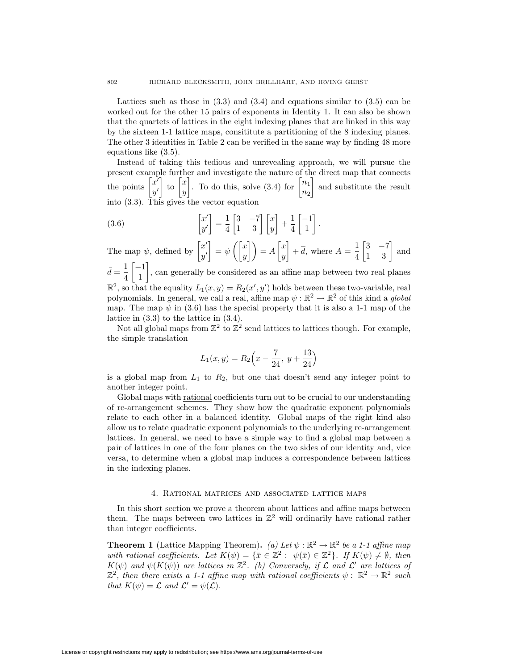Lattices such as those in  $(3.3)$  and  $(3.4)$  and equations similar to  $(3.5)$  can be worked out for the other 15 pairs of exponents in Identity 1. It can also be shown that the quartets of lattices in the eight indexing planes that are linked in this way by the sixteen 1-1 lattice maps, consititute a partitioning of the 8 indexing planes. The other 3 identities in Table 2 can be verified in the same way by finding 48 more equations like (3.5).

Instead of taking this tedious and unrevealing approach, we will pursue the present example further and investigate the nature of the direct map that connects the points  $\begin{bmatrix} x' \\ y' \end{bmatrix}$ *y0*  $\Big]$  to  $\Big[ \begin{matrix} x \\ y \end{matrix} \Big]$ *y* . To do this, solve  $(3.4)$  for  $\begin{bmatrix} n_1 \\ n_2 \end{bmatrix}$ *n*<sup>2</sup> and substitute the result into (3.3). This gives the vector equation

(3.6) 
$$
\begin{bmatrix} x' \\ y' \end{bmatrix} = \frac{1}{4} \begin{bmatrix} 3 & -7 \\ 1 & 3 \end{bmatrix} \begin{bmatrix} x \\ y \end{bmatrix} + \frac{1}{4} \begin{bmatrix} -1 \\ 1 \end{bmatrix}.
$$

The map  $\psi$ , defined by  $\begin{bmatrix} x' \\ y' \end{bmatrix}$ *y0*  $\Big] = \psi \left( \Big[ \begin{matrix} x \\ y \end{matrix} \Big] \right)$  $\begin{bmatrix} x \\ y \end{bmatrix}$  =  $A \begin{bmatrix} x \\ y \end{bmatrix}$ *y*  $\frac{1}{4} + \overline{d}$ , where  $A = \frac{1}{4}$  $\begin{bmatrix} 3 & -7 \\ 1 & 3 \end{bmatrix}$  and  $\bar{d} = \frac{1}{4}$  *−*1 1 , can generally be considered as an affine map between two real planes  $\mathbb{R}^2$ , so that the equality  $L_1(x, y) = R_2(x', y')$  holds between these two-variable, real polynomials. In general, we call a real, affine map  $\psi : \mathbb{R}^2 \to \mathbb{R}^2$  of this kind a *global* map. The map  $\psi$  in (3.6) has the special property that it is also a 1-1 map of the

lattice in (3.3) to the lattice in (3.4).

Not all global maps from  $\mathbb{Z}^2$  to  $\mathbb{Z}^2$  send lattices to lattices though. For example, the simple translation

$$
L_1(x,y) = R_2\left(x - \frac{7}{24}, y + \frac{13}{24}\right)
$$

is a global map from  $L_1$  to  $R_2$ , but one that doesn't send any integer point to another integer point.

Global maps with rational coefficients turn out to be crucial to our understanding of re-arrangement schemes. They show how the quadratic exponent polynomials relate to each other in a balanced identity. Global maps of the right kind also allow us to relate quadratic exponent polynomials to the underlying re-arrangement lattices. In general, we need to have a simple way to find a global map between a pair of lattices in one of the four planes on the two sides of our identity and, vice versa, to determine when a global map induces a correspondence between lattices in the indexing planes.

#### 4. Rational matrices and associated lattice maps

In this short section we prove a theorem about lattices and affine maps between them. The maps between two lattices in  $\mathbb{Z}^2$  will ordinarily have rational rather than integer coefficients.

**Theorem 1** (Lattice Mapping Theorem). *(a)* Let  $\psi : \mathbb{R}^2 \to \mathbb{R}^2$  be a 1-1 affine map *with rational coefficients. Let*  $K(\psi) = {\bar{x} \in \mathbb{Z}^2 : \psi(\bar{x}) \in \mathbb{Z}^2}$ *. If*  $K(\psi) \neq \emptyset$ *, then K*( $\psi$ ) *and*  $\psi$ ( $K(\psi)$ ) *are lattices in*  $\mathbb{Z}^2$ *. (b) Conversely, if*  $\mathcal L$  *and*  $\mathcal L'$  *are lattices of*  $\mathbb{Z}^2$ , then there exists a 1-1 affine map with rational coefficients  $\psi : \mathbb{R}^2 \to \mathbb{R}^2$  such *that*  $K(\psi) = \mathcal{L}$  *and*  $\mathcal{L}' = \psi(\mathcal{L})$ *.*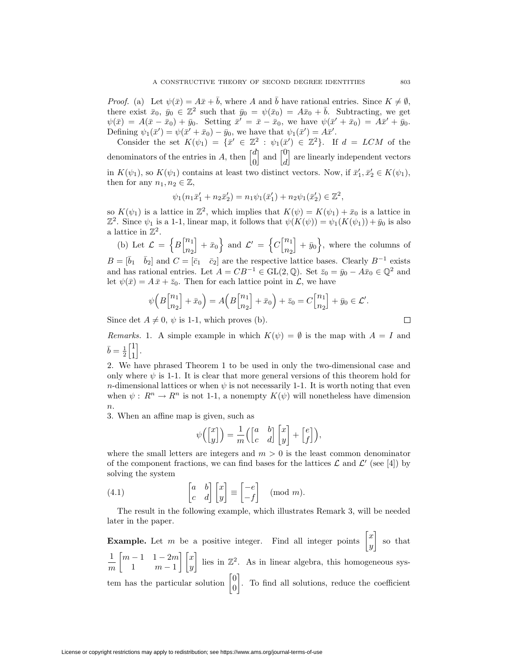*Proof.* (a) Let  $\psi(\bar{x}) = A\bar{x} + \bar{b}$ , where *A* and  $\bar{b}$  have rational entries. Since  $K \neq \emptyset$ , there exist  $\bar{x}_0, \bar{y}_0 \in \mathbb{Z}^2$  such that  $\bar{y}_0 = \psi(\bar{x}_0) = A\bar{x}_0 + \bar{b}$ . Subtracting, we get  $\psi(\bar{x}) = A(\bar{x} - \bar{x}_0) + \bar{y}_0$ . Setting  $\bar{x}' = \bar{x} - \bar{x}_0$ , we have  $\psi(\bar{x}' + \bar{x}_0) = A\bar{x}' + \bar{y}_0$ . Defining  $\psi_1(\bar{x}') = \psi(\bar{x}' + \bar{x}_0) - \bar{y}_0$ , we have that  $\psi_1(\bar{x}') = A\bar{x}'$ .

Consider the set  $K(\psi_1) = {\bar{x}' \in \mathbb{Z}^2 : \psi_1(\bar{x}') \in \mathbb{Z}^2}$ . If  $d = LCM$  of the denominators of the entries in *A*, then  $\begin{bmatrix} d \\ o \end{bmatrix}$ 0 and  $\begin{bmatrix} 0 \\ d \end{bmatrix}$ *d* are linearly independent vectors in  $K(\psi_1)$ , so  $K(\psi_1)$  contains at least two distinct vectors. Now, if  $\bar{x}'_1, \bar{x}'_2 \in K(\psi_1)$ , then for any  $n_1, n_2 \in \mathbb{Z}$ ,

$$
\psi_1(n_1\bar{x}_1' + n_2\bar{x}_2') = n_1\psi_1(\bar{x}_1') + n_2\psi_1(\bar{x}_2') \in \mathbb{Z}^2,
$$

so  $K(\psi_1)$  is a lattice in  $\mathbb{Z}^2$ , which implies that  $K(\psi) = K(\psi_1) + \bar{x}_0$  is a lattice in  $\mathbb{Z}^2$ . Since  $\psi_1$  is a 1-1, linear map, it follows that  $\psi(K(\psi)) = \psi_1(K(\psi_1)) + \bar{y}_0$  is also a lattice in  $\mathbb{Z}^2$ .

(b) Let  $\mathcal{L} = \left\{ B \right\}^{n_1}_{n_2}$ *n*<sup>2</sup>  $\left[ + \bar{x}_0 \right]$  and  $\mathcal{L}' = \left\{ C \right\}^{n_1}_{n_2}$ *n*<sup>2</sup>  $\vert + \bar{y}_0 \rangle$ , where the columns of  $B = [\bar{b}_1 \quad \bar{b}_2]$  and  $C = [\bar{c}_1 \quad \bar{c}_2]$  are the respective lattice bases. Clearly  $B^{-1}$  exists

and has rational entries. Let  $A = CB^{-1} \in GL(2, \mathbb{Q})$ . Set  $\bar{z}_0 = \bar{y}_0 - A\bar{x}_0 \in \mathbb{Q}^2$  and let  $\psi(\bar{x}) = A\bar{x} + \bar{z}_0$ . Then for each lattice point in *L*, we have

$$
\psi\Big(B\genfrac{[}{]}{0pt}{}{n_1}{n_2} + \bar{x}_0\Big) = A\Big(B\genfrac{[}{]}{0pt}{}{n_1}{n_2} + \bar{x}_0\Big) + \bar{z}_0 = C\genfrac{[}{]}{0pt}{}{n_1}{n_2} + \bar{y}_0 \in \mathcal{L}'.
$$

Since det  $A \neq 0$ ,  $\psi$  is 1-1, which proves (b).

*Remarks.* 1. A simple example in which  $K(\psi) = \emptyset$  is the map with  $A = I$  and  $\bar{b} = \frac{1}{2} \begin{bmatrix} 1 \\ 1 \end{bmatrix}$ 1 i .

2. We have phrased Theorem 1 to be used in only the two-dimensional case and only where  $\psi$  is 1-1. It is clear that more general versions of this theorem hold for *n*-dimensional lattices or when  $\psi$  is not necessarily 1-1. It is worth noting that even when  $\psi: R^n \to R^n$  is not 1-1, a nonempty  $K(\psi)$  will nonetheless have dimension *n*.

3. When an affine map is given, such as

$$
\psi\left(\begin{bmatrix} x \\ y \end{bmatrix}\right) = \frac{1}{m} \left(\begin{bmatrix} a & b \\ c & d \end{bmatrix} \begin{bmatrix} x \\ y \end{bmatrix} + \begin{bmatrix} e \\ f \end{bmatrix}\right),
$$

where the small letters are integers and  $m > 0$  is the least common denominator of the component fractions, we can find bases for the lattices  $\mathcal L$  and  $\mathcal L'$  (see [4]) by solving the system

(4.1) 
$$
\begin{bmatrix} a & b \\ c & d \end{bmatrix} \begin{bmatrix} x \\ y \end{bmatrix} \equiv \begin{bmatrix} -e \\ -f \end{bmatrix} \pmod{m}.
$$

The result in the following example, which illustrates Remark 3, will be needed later in the paper.

**Example.** Let m be a positive integer. Find all integer points  $\begin{bmatrix} x \\ y \end{bmatrix}$ *y* so that 1 *m*  $\left[ m-1, 1-2m \right]$ 1 *m −* 1 *x y* lies in  $\mathbb{Z}^2$ . As in linear algebra, this homogeneous system has the particular solution  $\begin{bmatrix} 0 \\ 0 \end{bmatrix}$ 0 . To find all solutions, reduce the coefficient

 $\Box$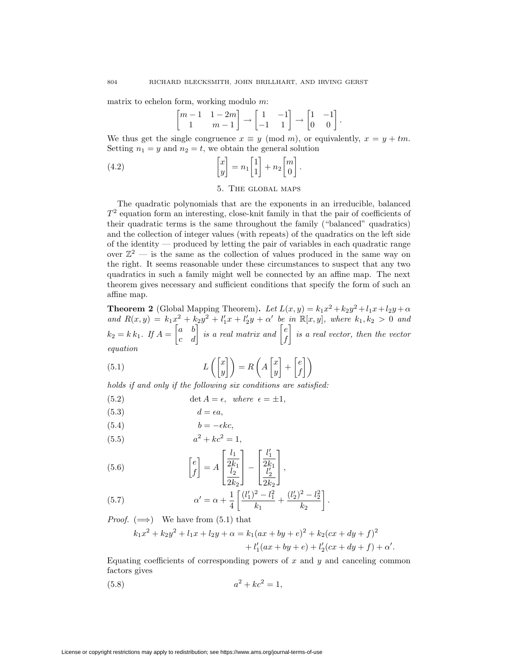matrix to echelon form, working modulo *m*:

$$
\begin{bmatrix} m-1 & 1-2m \\ 1 & m-1 \end{bmatrix} \rightarrow \begin{bmatrix} 1 & -1 \\ -1 & 1 \end{bmatrix} \rightarrow \begin{bmatrix} 1 & -1 \\ 0 & 0 \end{bmatrix}.
$$

We thus get the single congruence  $x \equiv y \pmod{m}$ , or equivalently,  $x = y + tm$ . Setting  $n_1 = y$  and  $n_2 = t$ , we obtain the general solution

(4.2) 
$$
\begin{bmatrix} x \\ y \end{bmatrix} = n_1 \begin{bmatrix} 1 \\ 1 \end{bmatrix} + n_2 \begin{bmatrix} m \\ 0 \end{bmatrix}.
$$

#### 5. The global maps

The quadratic polynomials that are the exponents in an irreducible, balanced  $T<sup>2</sup>$  equation form an interesting, close-knit family in that the pair of coefficients of their quadratic terms is the same throughout the family ("balanced" quadratics) and the collection of integer values (with repeats) of the quadratics on the left side of the identity — produced by letting the pair of variables in each quadratic range over  $\mathbb{Z}^2$  — is the same as the collection of values produced in the same way on the right. It seems reasonable under these circumstances to suspect that any two quadratics in such a family might well be connected by an affine map. The next theorem gives necessary and sufficient conditions that specify the form of such an affine map.

**Theorem 2** (Global Mapping Theorem). *Let*  $L(x, y) = k_1 x^2 + k_2 y^2 + l_1 x + l_2 y + \alpha$ and  $R(x,y) = k_1x^2 + k_2y^2 + l'_1x + l'_2y + \alpha'$  be in  $\mathbb{R}[x,y]$ , where  $k_1, k_2 > 0$  and  $k_2 = k\,k_1$ *. If*  $A = \begin{bmatrix} a & b \ c & d \end{bmatrix}$  is a real matrix and  $\begin{bmatrix} e \\ f \end{bmatrix}$ *f is a real vector, then the vector equation*

(5.1) 
$$
L\left(\begin{bmatrix} x \\ y \end{bmatrix}\right) = R\left(A\begin{bmatrix} x \\ y \end{bmatrix} + \begin{bmatrix} e \\ f \end{bmatrix}\right)
$$

*holds if and only if the following six conditions are satisfied:*

(5.2) 
$$
\det A = \epsilon, \text{ where } \epsilon = \pm 1,
$$

$$
(5.3) \t\t d = \epsilon a,
$$

$$
(5.4) \t\t b = -\epsilon k c,
$$

(5.5) 
$$
a^2 + kc^2 = 1,
$$

(5.6) 
$$
\begin{bmatrix} e \\ f \end{bmatrix} = A \begin{bmatrix} \frac{l_1}{2k_1} \\ \frac{l_2}{2k_2} \end{bmatrix} - \begin{bmatrix} \frac{l'_1}{2k_1} \\ \frac{l'_2}{2k_2} \end{bmatrix},
$$

(5.7) 
$$
\alpha' = \alpha + \frac{1}{4} \left[ \frac{(l'_1)^2 - l_1^2}{k_1} + \frac{(l'_2)^2 - l_2^2}{k_2} \right].
$$

*Proof.*  $(\Longrightarrow)$  We have from  $(5.1)$  that

$$
k_1x^2 + k_2y^2 + l_1x + l_2y + \alpha = k_1(ax + by + e)^2 + k_2(cx + dy + f)^2
$$
  
+ 
$$
l'_1(ax + by + e) + l'_2(cx + dy + f) + \alpha'.
$$

Equating coefficients of corresponding powers of *x* and *y* and canceling common factors gives

(5.8) 
$$
a^2 + kc^2 = 1,
$$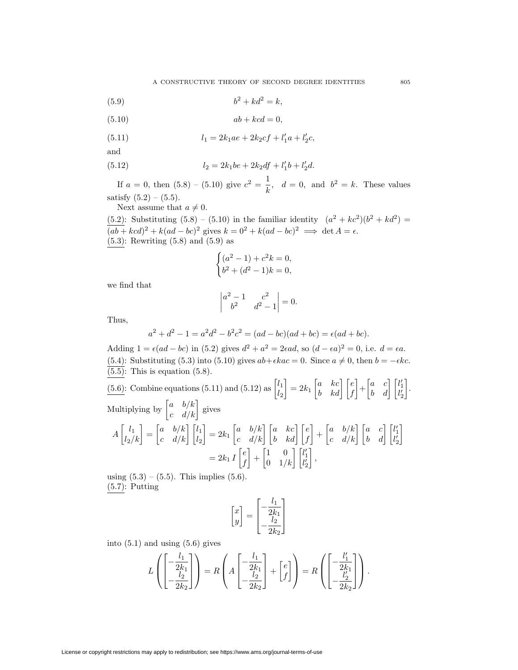(5.9) 
$$
b^2 + kd^2 = k,
$$

$$
(5.10) \t ab + kcd = 0,
$$

(5.11) 
$$
l_1 = 2k_1ae + 2k_2cf + l'_1a + l'_2c,
$$

and

(5.12) 
$$
l_2 = 2k_1be + 2k_2df + l'_1b + l'_2d.
$$

If  $a = 0$ , then  $(5.8) - (5.10)$  give  $c^2 = \frac{1}{k}$ ,  $d = 0$ , and  $b^2 = k$ . These values satisfy  $(5.2) - (5.5)$ .

Next assume that 
$$
a \neq 0
$$
.

(5.2): Substituting (5.8) – (5.10) in the familiar identity  $(a^2 + kc^2)(b^2 + kd^2)$  $\frac{d^2y}{(ab + kcd)^2 + k(ad - bc)^2}$  gives  $k = 0^2 + k(ad - bc)^2 \implies \det A = \epsilon$ . (5*.*3): Rewriting (5.8) and (5.9) as

$$
\begin{cases} (a^2 - 1) + c^2 k = 0, \\ b^2 + (d^2 - 1)k = 0, \end{cases}
$$

we find that

$$
\begin{vmatrix} a^2 - 1 & c^2 \\ b^2 & d^2 - 1 \end{vmatrix} = 0.
$$

Thus,

$$
a^{2} + d^{2} - 1 = a^{2}d^{2} - b^{2}c^{2} = (ad - bc)(ad + bc) = \epsilon(ad + bc).
$$

Adding  $1 = \epsilon(ad - bc)$  in (5.2) gives  $d^2 + a^2 = 2\epsilon ad$ , so  $(d - \epsilon a)^2 = 0$ , i.e.  $d = \epsilon a$ . (5.4): Substituting (5.3) into (5.10) gives  $ab + \epsilon kac = 0$ . Since  $a \neq 0$ , then  $b = -\epsilon kc$ .  $\overline{(5.5)}$ : This is equation (5.8).

 $(5.6)$ : Combine equations  $(5.11)$  and  $(5.12)$  as  $\begin{bmatrix} l_1 \\ l_2 \end{bmatrix}$  $l_2$  $\begin{bmatrix} a & kc \ b & kd \end{bmatrix} \begin{bmatrix} e \ f \end{bmatrix}$  $\begin{bmatrix} a & c \\ b & d \end{bmatrix} \begin{bmatrix} l'_1 \\ l'_2 \end{bmatrix}$ *l 0* 2 . Multiplying by  $\begin{bmatrix} a & b/k \\ c & d/k \end{bmatrix}$  gives  $A\begin{bmatrix} l_1 \ l_2/k \end{bmatrix} = \begin{bmatrix} a & b/k \ c & d/k \end{bmatrix} \begin{bmatrix} l_1 \ l_2 \end{bmatrix}$  $\begin{bmatrix} a & b/k \ c & d/k \end{bmatrix} \begin{bmatrix} a & kc \ b & kd \end{bmatrix} \begin{bmatrix} e \ f \end{bmatrix}$  $\begin{bmatrix} a & b/k \\ c & d/k \end{bmatrix} \begin{bmatrix} a & c \\ b & d \end{bmatrix} \begin{bmatrix} l'_1 \\ l'_2 \end{bmatrix}$  $l'_{2}$ 1  $= 2k_1 I \left[ \frac{e}{t} \right]$ *f*  $\begin{bmatrix} 1 & 0 \\ 0 & 1/k \end{bmatrix} \begin{bmatrix} l'_1 \\ l'_2 \end{bmatrix}$ *l 0* 2 *,*

using  $(5.3) - (5.5)$ . This implies  $(5.6)$ . (5*.*7): Putting

$$
\begin{bmatrix} x \\ y \end{bmatrix} = \begin{bmatrix} -\frac{l_1}{2k_1} \\ -\frac{l_2}{2k_2} \end{bmatrix}
$$

into  $(5.1)$  and using  $(5.6)$  gives

$$
L\left(\begin{bmatrix} -\frac{l_1}{2k_1} \\ -\frac{l_2}{2k_2} \end{bmatrix}\right) = R\left(A\begin{bmatrix} -\frac{l_1}{2k_1} \\ -\frac{l_2}{2k_2} \end{bmatrix} + \begin{bmatrix} e \\ f \end{bmatrix}\right) = R\left(\begin{bmatrix} -\frac{l'_1}{2k_1} \\ -\frac{l'_2}{2k_2} \end{bmatrix}\right).
$$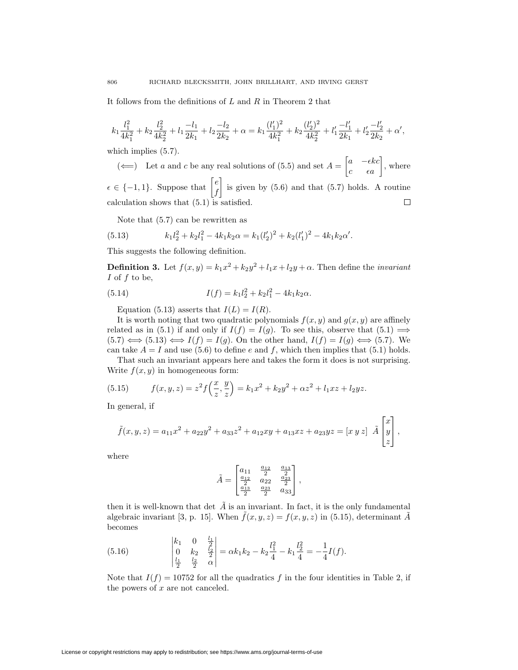It follows from the definitions of *L* and *R* in Theorem 2 that

$$
k_1\frac{l_1^2}{4k_1^2}+k_2\frac{l_2^2}{4k_2^2}+l_1\frac{-l_1}{2k_1}+l_2\frac{-l_2}{2k_2}+\alpha=k_1\frac{(l_1')^2}{4k_1^2}+k_2\frac{(l_2')^2}{4k_2^2}+l_1'\frac{-l_1'}{2k_1}+l_2'\frac{-l_2'}{2k_2}+\alpha',
$$

which implies  $(5.7)$ .

(←) Let *a* and *c* be any real solutions of (5.5) and set  $A = \begin{bmatrix} a & -\epsilon kc \ c & \epsilon a \end{bmatrix}$ , where  $\epsilon \in \{-1, 1\}$ . Suppose that  $\begin{bmatrix} e \\ f \end{bmatrix}$ is given by  $(5.6)$  and that  $(5.7)$  holds. A routine *f* calculation shows that  $(5.1)$  is satisfied.  $\Box$ 

Note that (5.7) can be rewritten as

(5.13) 
$$
k_1 l_2^2 + k_2 l_1^2 - 4k_1 k_2 \alpha = k_1 (l'_2)^2 + k_2 (l'_1)^2 - 4k_1 k_2 \alpha'.
$$

This suggests the following definition.

**Definition 3.** Let  $f(x, y) = k_1x^2 + k_2y^2 + l_1x + l_2y + \alpha$ . Then define the *invariant I* of *f* to be,

(5.14) 
$$
I(f) = k_1 l_2^2 + k_2 l_1^2 - 4k_1 k_2 \alpha.
$$

Equation (5.13) asserts that  $I(L) = I(R)$ .

It is worth noting that two quadratic polynomials  $f(x, y)$  and  $g(x, y)$  are affinely related as in (5.1) if and only if  $I(f) = I(g)$ . To see this, observe that  $(5.1) \implies$  $(5.7) \iff (5.13) \iff I(f) = I(g)$ . On the other hand,  $I(f) = I(g) \iff (5.7)$ . We can take  $A = I$  and use (5.6) to define *e* and *f*, which then implies that (5.1) holds.

That such an invariant appears here and takes the form it does is not surprising. Write  $f(x, y)$  in homogeneous form:

(5.15) 
$$
f(x,y,z) = z^2 f\left(\frac{x}{z}, \frac{y}{z}\right) = k_1 x^2 + k_2 y^2 + \alpha z^2 + l_1 x z + l_2 y z.
$$

In general, if

$$
\tilde{f}(x,y,z) = a_{11}x^2 + a_{22}y^2 + a_{33}z^2 + a_{12}xy + a_{13}xz + a_{23}yz = [x\ y\ z]\ \tilde{A}\begin{bmatrix} x \\ y \\ z \end{bmatrix},
$$

where

$$
\tilde{A} = \begin{bmatrix} a_{11} & \frac{a_{12}}{2} & \frac{a_{13}}{2} \\ \frac{a_{12}}{2} & a_{22} & \frac{a_{23}}{2} \\ \frac{a_{13}}{2} & \frac{a_{23}}{2} & a_{33} \end{bmatrix},
$$

then it is well-known that det  $\tilde{A}$  is an invariant. In fact, it is the only fundamental algebraic invariant [3, p. 15]. When  $\tilde{f}(x, y, z) = f(x, y, z)$  in (5.15), determinant  $\tilde{A}$ becomes

(5.16) 
$$
\begin{vmatrix} k_1 & 0 & \frac{l_1}{2} \\ 0 & k_2 & \frac{l_2}{2} \\ \frac{l_1}{2} & \frac{l_2}{2} & \alpha \end{vmatrix} = \alpha k_1 k_2 - k_2 \frac{l_1^2}{4} - k_1 \frac{l_2^2}{4} = -\frac{1}{4} I(f).
$$

Note that  $I(f) = 10752$  for all the quadratics f in the four identities in Table 2, if the powers of *x* are not canceled.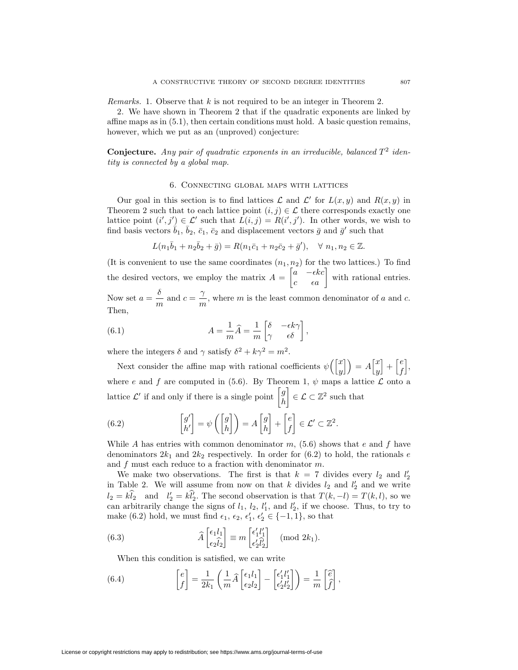*Remarks.* 1. Observe that *k* is not required to be an integer in Theorem 2.

2. We have shown in Theorem 2 that if the quadratic exponents are linked by affine maps as in (5.1), then certain conditions must hold. A basic question remains, however, which we put as an (unproved) conjecture:

**Conjecture.** Any pair of quadratic exponents in an irreducible, balanced  $T^2$  iden*tity is connected by a global map.*

#### 6. Connecting global maps with lattices

Our goal in this section is to find lattices  $\mathcal L$  and  $\mathcal L'$  for  $L(x, y)$  and  $R(x, y)$  in Theorem 2 such that to each lattice point  $(i, j) \in \mathcal{L}$  there corresponds exactly one lattice point  $(i', j') \in \mathcal{L}'$  such that  $L(i, j) = R(i', j')$ . In other words, we wish to find basis vectors  $b_1$ ,  $b_2$ ,  $\bar{c}_1$ ,  $\bar{c}_2$  and displacement vectors  $\bar{g}$  and  $\bar{g}'$  such that

$$
L(n_1\bar{b}_1 + n_2\bar{b}_2 + \bar{g}) = R(n_1\bar{c}_1 + n_2\bar{c}_2 + \bar{g}'), \quad \forall \ n_1, n_2 \in \mathbb{Z}.
$$

(It is convenient to use the same coordinates  $(n_1, n_2)$  for the two lattices.) To find the desired vectors, we employ the matrix  $A = \begin{bmatrix} a & -\epsilon kc \\ c & \epsilon a \end{bmatrix}$  with rational entries.

Now set  $a = \frac{\delta}{m}$  and  $c = \frac{\gamma}{m}$ , where *m* is the least common denominator of *a* and *c*. Then,

(6.1) 
$$
A = \frac{1}{m}\widehat{A} = \frac{1}{m} \begin{bmatrix} \delta & -\epsilon k \gamma \\ \gamma & \epsilon \delta \end{bmatrix},
$$

where the integers  $\delta$  and  $\gamma$  satisfy  $\delta^2 + k\gamma^2 = m^2$ .

Next consider the affine map with rational coefficients  $\psi\left(\begin{bmatrix} x \\ y \end{bmatrix}\right)$  $\begin{bmatrix} x \\ y \end{bmatrix}$  =  $A \begin{bmatrix} x \\ y \end{bmatrix}$ *y*  $\big] + \big[ \begin{matrix} e \\ f \end{matrix} \big]$ *f* i *,* where *e* and *f* are computed in (5.6). By Theorem 1,  $\psi$  maps a lattice  $\mathcal{L}$  onto a lattice  $\mathcal{L}'$  if and only if there is a single point  $\begin{bmatrix} g \\ h \end{bmatrix}$ *h*  $\Big] \in \mathcal{L} \subset \mathbb{Z}^2$  such that

(6.2) 
$$
\begin{bmatrix} g' \\ h' \end{bmatrix} = \psi \left( \begin{bmatrix} g \\ h \end{bmatrix} \right) = A \begin{bmatrix} g \\ h \end{bmatrix} + \begin{bmatrix} e \\ f \end{bmatrix} \in \mathcal{L}' \subset \mathbb{Z}^2.
$$

While *A* has entries with common denominator *m*, (5.6) shows that *e* and *f* have denominators  $2k_1$  and  $2k_2$  respectively. In order for  $(6.2)$  to hold, the rationals *e* and *f* must each reduce to a fraction with denominator *m*.

We make two observations. The first is that  $k = 7$  divides every  $l_2$  and  $l'_2$ in Table 2. We will assume from now on that *k* divides  $l_2$  and  $l'_2$  and we write  $l_2 = kl_2$  and  $l'_2 = kl'_2$ . The second observation is that  $T(k, -l) = T(k, l)$ , so we can arbitrarily change the signs of  $l_1$ ,  $l_2$ ,  $l'_1$ , and  $l'_2$ , if we choose. Thus, to try to make (6.2) hold, we must find  $\epsilon_1$ ,  $\epsilon_2$ ,  $\epsilon'_1$ ,  $\epsilon'_2 \in \{-1, 1\}$ , so that

(6.3) 
$$
\widehat{A}\begin{bmatrix} \epsilon_1 l_1 \\ \epsilon_2 \widehat{l}_2 \end{bmatrix} \equiv m \begin{bmatrix} \epsilon'_1 l'_1 \\ \epsilon'_2 \widehat{l}'_2 \end{bmatrix} \pmod{2k_1}.
$$

When this condition is satisfied, we can write

(6.4) 
$$
\begin{bmatrix} e \\ f \end{bmatrix} = \frac{1}{2k_1} \left( \frac{1}{m} \widehat{A} \begin{bmatrix} \epsilon_1 l_1 \\ \epsilon_2 l_2 \end{bmatrix} - \begin{bmatrix} \epsilon'_1 l'_1 \\ \epsilon'_2 l'_2 \end{bmatrix} \right) = \frac{1}{m} \begin{bmatrix} \widehat{e} \\ \widehat{f} \end{bmatrix},
$$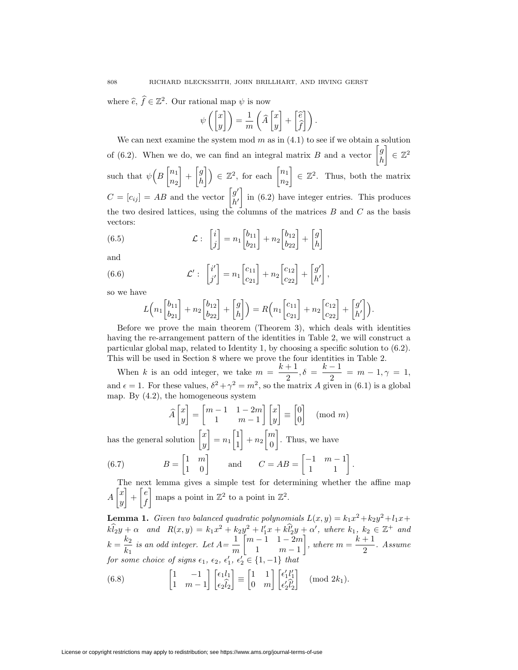where  $\hat{e}, \hat{f} \in \mathbb{Z}^2$ . Our rational map  $\psi$  is now

$$
\psi\left(\begin{bmatrix} x \\ y \end{bmatrix}\right) = \frac{1}{m} \left(\widehat{A} \begin{bmatrix} x \\ y \end{bmatrix} + \begin{bmatrix} \widehat{e} \\ \widehat{f} \end{bmatrix}\right).
$$

We can next examine the system mod  $m$  as in  $(4.1)$  to see if we obtain a solution of (6.2). When we do, we can find an integral matrix *B* and a vector  $\begin{bmatrix} g \\ h \end{bmatrix}$ *h ∈* Z<sup>2</sup> such that  $\psi\left(B\right)$ <sup>n<sub>1</sub></sup> *n*<sup>2</sup>  $-\left[\begin{matrix} g \\ h \end{matrix}\right]$ *h*  $\left[ \cdot \right]$   $\in \mathbb{Z}^2$ , for each  $\left[ \begin{matrix} n_1 \\ n_2 \end{matrix} \right]$ *n*<sup>2</sup>  $\Big] \in \mathbb{Z}^2$ . Thus, both the matrix  $C = [c_{ij}] = AB$  and the vector  $\begin{bmatrix} g' \\ h' \end{bmatrix}$ *h0* in (6.2) have integer entries. This produces the two desired lattices, using the columns of the matrices *B* and *C* as the basis vectors:

(6.5) 
$$
\mathcal{L}: \begin{bmatrix} i \\ j \end{bmatrix} = n_1 \begin{bmatrix} b_{11} \\ b_{21} \end{bmatrix} + n_2 \begin{bmatrix} b_{12} \\ b_{22} \end{bmatrix} + \begin{bmatrix} g \\ h \end{bmatrix}
$$

and

(6.6) 
$$
\mathcal{L}' : \begin{bmatrix} i' \\ j' \end{bmatrix} = n_1 \begin{bmatrix} c_{11} \\ c_{21} \end{bmatrix} + n_2 \begin{bmatrix} c_{12} \\ c_{22} \end{bmatrix} + \begin{bmatrix} g' \\ h' \end{bmatrix},
$$

so we have

$$
L\left(n_1\begin{bmatrix}b_{11}\\b_{21}\end{bmatrix}+n_2\begin{bmatrix}b_{12}\\b_{22}\end{bmatrix}+\begin{bmatrix}g\\h\end{bmatrix}\right)=R\left(n_1\begin{bmatrix}c_{11}\\c_{21}\end{bmatrix}+n_2\begin{bmatrix}c_{12}\\c_{22}\end{bmatrix}+\begin{bmatrix}g'\\h'\end{bmatrix}\right).
$$

Before we prove the main theorem (Theorem 3), which deals with identities having the re-arrangement pattern of the identities in Table 2, we will construct a particular global map, related to Identity 1, by choosing a specific solution to (6.2). This will be used in Section 8 where we prove the four identities in Table 2.

When *k* is an odd integer, we take  $m = \frac{k+1}{2}, \delta = \frac{k-1}{2} = m-1, \gamma = 1$ , and  $\epsilon = 1$ . For these values,  $\delta^2 + \gamma^2 = m^2$ , so the matrix *A* given in (6.1) is a global map. By (4.2), the homogeneous system

$$
\widehat{A}\begin{bmatrix} x \\ y \end{bmatrix} = \begin{bmatrix} m-1 & 1-2m \\ 1 & m-1 \end{bmatrix} \begin{bmatrix} x \\ y \end{bmatrix} \equiv \begin{bmatrix} 0 \\ 0 \end{bmatrix} \pmod{m}
$$

has the general solution  $\begin{bmatrix} x \\ y \end{bmatrix}$ *y*  $n_1 \begin{bmatrix} 1 \\ 1 \end{bmatrix}$ 1  $\Big] + n_2 \Big[ \frac{m}{\alpha}$ 0 . Thus, we have

(6.7) 
$$
B = \begin{bmatrix} 1 & m \\ 1 & 0 \end{bmatrix} \quad \text{and} \quad C = AB = \begin{bmatrix} -1 & m-1 \\ 1 & 1 \end{bmatrix}.
$$

The next lemma gives a simple test for determining whether the affine map  $A\left[\begin{matrix} x \\ y \end{matrix}\right]$ *y*  $\left[ \begin{array}{c} e \\ f \end{array} \right]$ *f* maps a point in  $\mathbb{Z}^2$  to a point in  $\mathbb{Z}^2$ .

**Lemma 1.** *Given two balanced quadratic polynomials*  $L(x, y) = k_1x^2 + k_2y^2 + l_1x +$  $k\hat{l}_2y + \alpha$  and  $R(x, y) = k_1x^2 + k_2y^2 + l'_1x + k\hat{l}'_2y + \alpha'$ , where  $k_1, k_2 \in \mathbb{Z}^+$  and  $k = \frac{k_2}{k_1}$  is an odd integer. Let  $A = \frac{1}{m}$  $\left[ m-1 \quad 1-2m \right]$ 1 *m −* 1  $\left| , \text{ where } m = \frac{k+1}{2} . \text{ Assume} \right|$ *for some choice of signs*  $\epsilon_1$ ,  $\epsilon_2$ ,  $\epsilon'_1$ ,  $\epsilon'_2 \in \{1, -1\}$  *that* 

(6.8) 
$$
\begin{bmatrix} 1 & -1 \ 1 & m-1 \end{bmatrix} \begin{bmatrix} \epsilon_1 l_1 \\ \epsilon_2 \hat{l}_2 \end{bmatrix} \equiv \begin{bmatrix} 1 & 1 \\ 0 & m \end{bmatrix} \begin{bmatrix} \epsilon'_1 l'_1 \\ \epsilon'_2 \hat{l}'_2 \end{bmatrix} \pmod{2k_1}.
$$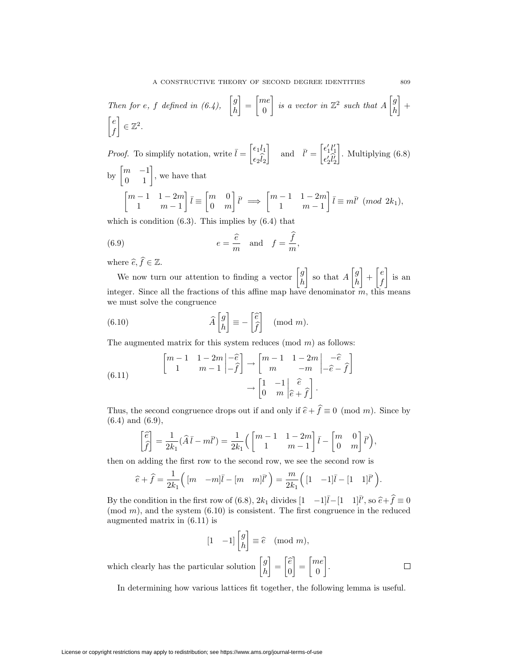Then for e, f defined in (6.4), 
$$
\begin{bmatrix} g \\ h \end{bmatrix} = \begin{bmatrix} me \\ 0 \end{bmatrix}
$$
 is a vector in  $\mathbb{Z}^2$  such that  $A \begin{bmatrix} g \\ h \end{bmatrix} + \begin{bmatrix} e \\ f \end{bmatrix} \in \mathbb{Z}^2$ .

*Proof.* To simplify notation, write  $\overline{l} = \begin{bmatrix} \epsilon_1 l_1 \\ \hat{\tau} \end{bmatrix}$  $\epsilon_2 l_2$ and  $\bar{l}' = \begin{bmatrix} \epsilon'_1 l'_1 \\ \ell \hat{n'} \end{bmatrix}$  $\epsilon_2' l_2'$  . Multiplying (6.8) by  $\begin{bmatrix} m & -1 \\ 0 & 1 \end{bmatrix}$ , we have that  $\left[ m-1, 1-2m \right]$ 1 *m −* 1  $\bar{l} \equiv \begin{bmatrix} m & 0 \\ 0 & m \end{bmatrix}$ 0 *m*  $\bar{l}' \Rightarrow \begin{bmatrix} m-1 & 1-2m \\ 1 & m-1 \end{bmatrix}$ 1 *m −* 1  $\bar{l} \equiv m\bar{l}' \pmod{2k_1}$ 

which is condition  $(6.3)$ . This implies by  $(6.4)$  that

(6.9) 
$$
e = \frac{\widehat{e}}{m} \quad \text{and} \quad f = \frac{\widehat{f}}{m},
$$

where  $\widehat{e}, f \in \mathbb{Z}$ .

We now turn our attention to finding a vector  $\begin{bmatrix} g \\ h \end{bmatrix}$ *h* so that  $A\begin{bmatrix} g \\ h \end{bmatrix}$ *h*  $\left[ \begin{array}{c} e \\ f \end{array} \right]$ *f* is an integer. Since all the fractions of this affine map have denominator *m*, this means we must solve the congruence

(6.10) 
$$
\widehat{A}\begin{bmatrix} g \\ h \end{bmatrix} \equiv -\begin{bmatrix} \widehat{e} \\ \widehat{f} \end{bmatrix} \pmod{m}.
$$

The augmented matrix for this system reduces (mod *m*) as follows:

(6.11) 
$$
\begin{bmatrix} m-1 & 1-2m & -\hat{e} \\ 1 & m-1 & -\hat{f} \end{bmatrix} \rightarrow \begin{bmatrix} m-1 & 1-2m & -\hat{e} \\ m & -m & -\hat{e}-\hat{f} \end{bmatrix}
$$

$$
\rightarrow \begin{bmatrix} 1 & -1 & \hat{e} \\ 0 & m & \hat{e}+\hat{f} \end{bmatrix}.
$$

Thus, the second congruence drops out if and only if  $\hat{e} + f \equiv 0 \pmod{m}$ . Since by  $(6.4)$  and  $(6.9)$ (6.4) and (6.9),

$$
\begin{bmatrix} \hat{e} \\ \hat{f} \end{bmatrix} = \frac{1}{2k_1} (\hat{A}\bar{l} - m\bar{l}') = \frac{1}{2k_1} \left( \begin{bmatrix} m-1 & 1-2m \\ 1 & m-1 \end{bmatrix} \bar{l} - \begin{bmatrix} m & 0 \\ 0 & m \end{bmatrix} \bar{l}' \right),
$$

then on adding the first row to the second row, we see the second row is

$$
\widehat{e} + \widehat{f} = \frac{1}{2k_1} \Big( \begin{bmatrix} m & -m \end{bmatrix} \overline{l} - \begin{bmatrix} m & m \end{bmatrix} \overline{l}' \Big) = \frac{m}{2k_1} \Big( \begin{bmatrix} 1 & -1 \end{bmatrix} \overline{l} - \begin{bmatrix} 1 & 1 \end{bmatrix} \overline{l}' \Big).
$$

By the condition in the first row of (6.8),  $2k_1$  divides  $\begin{bmatrix} 1 & -1 \end{bmatrix} \overline{l} - \begin{bmatrix} 1 & 1 \end{bmatrix} \overline{l}$ , so  $\hat{e} + \hat{f} \equiv 0$ <br>(mod *m*), and the system (6.10) is consistent. The first congruence in the reduced  $p(\text{mod } m)$ , and the system  $(6.10)$  is consistent. The first congruence in the reduced augmented matrix in (6.11) is

$$
\begin{bmatrix} 1 & -1 \end{bmatrix} \begin{bmatrix} g \\ h \end{bmatrix} \equiv \widehat{e} \pmod{m},
$$

which clearly has the particular solution  $\begin{bmatrix} g \\ h \end{bmatrix}$  $\begin{bmatrix} e \\ 0 \end{bmatrix}$  $\left[\begin{matrix}me\\h\end{matrix}\right] = \left[\begin{matrix}me\\h\end{matrix}\right]$  .  $\Box$ *h* 0

In determining how various lattices fit together, the following lemma is useful.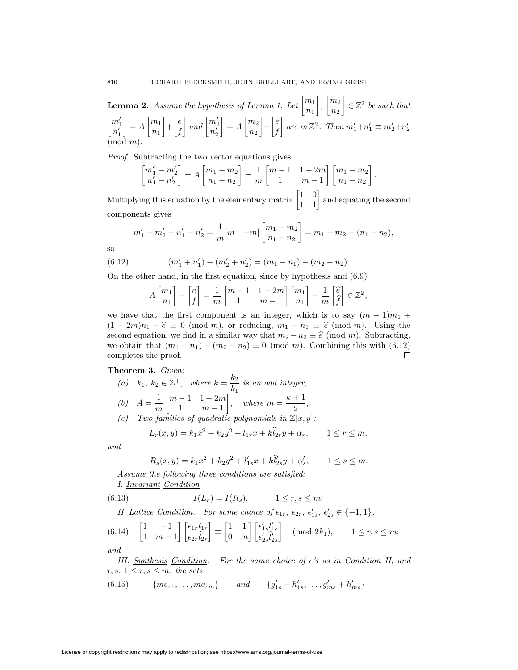**Lemma 2.** Assume the hypothesis of Lemma 1. Let  $\begin{bmatrix} m_1 \\ m_2 \end{bmatrix}$ *n*<sup>1</sup>  $\left.\right|, \left[\begin{matrix} m_2 \\ m_1 \end{matrix}\right]$ *n*<sup>2</sup>  $\Big] \in \mathbb{Z}^2$  *be such that*  $\lceil m_1' \rceil$  $n_1'$  $= A \left[\begin{matrix} m_1 \\ n_2 \end{matrix}\right]$ *n*<sup>1</sup>  $\left[ \begin{array}{c} e \\ f \end{array} \right]$ *f*  $\Big]$  and  $\Big[\begin{matrix} m'_2 \\ n'_1 \end{matrix}\Big]$  $n_2'$  $\Big] = A \Big[ {m_2 \over m} \Big]$ *n*<sup>2</sup>  $\left[ \begin{array}{c} e \\ f \end{array} \right]$ *f*  $\int$  *are in*  $\mathbb{Z}^2$ *. Then*  $m'_1 + n'_1 \equiv m'_2 + n'_2$ (mod *m*)*.*

*Proof.* Subtracting the two vector equations gives

$$
\begin{bmatrix} m_1' - m_2' \\ n_1' - n_2' \end{bmatrix} = A \begin{bmatrix} m_1 - m_2 \\ n_1 - n_2 \end{bmatrix} = \frac{1}{m} \begin{bmatrix} m - 1 & 1 - 2m \\ 1 & m - 1 \end{bmatrix} \begin{bmatrix} m_1 - m_2 \\ n_1 - n_2 \end{bmatrix}.
$$

Multiplying this equation by the elementary matrix  $\begin{bmatrix} 1 & 0 \\ 1 & 1 \end{bmatrix}$  and equating the second components gives

$$
m'_1 - m'_2 + n'_1 - n'_2 = \frac{1}{m} [m - m] \begin{bmatrix} m_1 - m_2 \\ n_1 - n_2 \end{bmatrix} = m_1 - m_2 - (n_1 - n_2),
$$

so

(6.12) 
$$
(m'_1 + n'_1) - (m'_2 + n'_2) = (m_1 - n_1) - (m_2 - n_2).
$$

On the other hand, in the first equation, since by hypothesis and (6.9)

$$
A\begin{bmatrix} m_1 \\ n_1 \end{bmatrix} + \begin{bmatrix} e \\ f \end{bmatrix} = \frac{1}{m} \begin{bmatrix} m-1 & 1-2m \\ 1 & m-1 \end{bmatrix} \begin{bmatrix} m_1 \\ n_1 \end{bmatrix} + \frac{1}{m} \begin{bmatrix} \hat{e} \\ \hat{f} \end{bmatrix} \in \mathbb{Z}^2,
$$

we have that the first component is an integer, which is to say  $(m-1)m_1 +$  $(1 - 2m)n_1 + \hat{e} \equiv 0 \pmod{m}$ , or reducing,  $m_1 - n_1 \equiv \hat{e} \pmod{m}$ . Using the second equation, we find in a similar way that  $m_2 - n_2 \equiv \hat{e} \pmod{m}$ . Subtracting, we obtain that  $(m_1 - n_1) - (m_2 - n_2) \equiv 0 \pmod{m}$ . Combining this with (6.12) completes the proof.  $\Box$ 

#### **Theorem 3.** *Given:*

\n- (a) 
$$
k_1, k_2 \in \mathbb{Z}^+
$$
, where  $k = \frac{k_2}{k_1}$  is an odd integer,
\n- (b)  $A = \frac{1}{m} \begin{bmatrix} m-1 & 1-2m \\ 1 & m-1 \end{bmatrix}$ , where  $m = \frac{k+1}{2}$ ,
\n- (c) Two families of quadratic polynomials in  $\mathbb{Z}[x, y]$ :
\n

$$
L_r(x,y) = k_1 x^2 + k_2 y^2 + l_{1r} x + k \widehat{l}_{2r} y + \alpha_r, \qquad 1 \le r \le m,
$$

*and*

$$
R_s(x, y) = k_1 x^2 + k_2 y^2 + l'_{1s} x + k \hat{l}'_{2s} y + \alpha'_s, \qquad 1 \le s \le m.
$$

*Assume the following three conditions are satisfied:*

*I. Invariant Condition.*

(6.13) 
$$
I(L_r) = I(R_s), \qquad 1 \le r, s \le m;
$$

II. Lattice Condition. For some choice of 
$$
\epsilon_{1r}
$$
,  $\epsilon_{2r}$ ,  $\epsilon'_{1s}$ ,  $\epsilon'_{2s} \in \{-1, 1\}$ ,

$$
(6.14) \quad \begin{bmatrix} 1 & -1 \\ 1 & m-1 \end{bmatrix} \begin{bmatrix} \epsilon_{1r} l_{1r} \\ \epsilon_{2r} \hat{l}_{2r} \end{bmatrix} \equiv \begin{bmatrix} 1 & 1 \\ 0 & m \end{bmatrix} \begin{bmatrix} \epsilon'_{1s} l'_{1s} \\ \epsilon'_{2s} \hat{l}'_{2s} \end{bmatrix} \quad (\text{mod } 2k_1), \qquad 1 \le r, s \le m;
$$

*and*

*III. Synthesis Condition. For the same choice of 's as in Condition II, and*  $r, s, 1 \leq r, s \leq m$ *, the sets* 

 ${m\ell_{r1}, \ldots, m\ell_{rm}}$  *and*  ${g'_{1s} + h'_{1s}, \ldots, g'_{ms} + h'_{ms}}$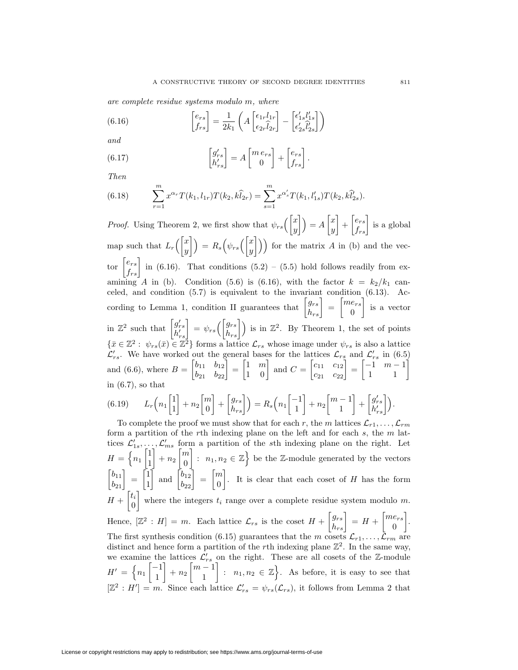*are complete residue systems modulo m, where*

(6.16) 
$$
\begin{bmatrix} e_{rs} \\ f_{rs} \end{bmatrix} = \frac{1}{2k_1} \left( A \begin{bmatrix} \epsilon_{1r} l_{1r} \\ \epsilon_{2r} \hat{l}_{2r} \end{bmatrix} - \begin{bmatrix} \epsilon'_{1s} l'_{1s} \\ \epsilon'_{2s} \hat{l}'_{2s} \end{bmatrix} \right)
$$

*and*

(6.17) 
$$
\begin{bmatrix} g'_{rs} \\ h'_{rs} \end{bmatrix} = A \begin{bmatrix} m \, e_{rs} \\ 0 \end{bmatrix} + \begin{bmatrix} e_{rs} \\ f_{rs} \end{bmatrix}.
$$

*Then*

(6.18) 
$$
\sum_{r=1}^{m} x^{\alpha_r} T(k_1, l_{1r}) T(k_2, k\widehat{l}_{2r}) = \sum_{s=1}^{m} x^{\alpha'_s} T(k_1, l'_{1s}) T(k_2, k\widehat{l}'_{2s}).
$$

*Proof.* Using Theorem 2, we first show that  $\psi_{rs} \left( \begin{bmatrix} x \\ y \end{bmatrix} \right)$ *y*  $\Big\} = A \Big\[ \begin{matrix} x \\ y \end{matrix} \Big\]$ *y*  $\left] + \begin{bmatrix} e_{rs} \\ f_{rs} \end{bmatrix}$  is a global map such that  $L_r$   $\begin{bmatrix} x \\ y \end{bmatrix}$ *y*  $\bigg| \bigg) = R_s \bigg( \psi_{rs} \bigg( \bigg|_y^x \bigg)$  $\begin{pmatrix} x \\ y \end{pmatrix}$ ) for the matrix *A* in (b) and the vector  $\begin{bmatrix} e_{rs} \\ f_{rs} \end{bmatrix}$  in (6.16). That conditions (5.2) – (5.5) hold follows readily from examining *A* in (b). Condition (5.6) is (6.16), with the factor  $k = k_2/k_1$  canceled, and condition (5.7) is equivalent to the invariant condition (6.13). According to Lemma 1, condition II guarantees that  $\begin{bmatrix} g_{rs} \\ h_{rs} \end{bmatrix} = \begin{bmatrix} me_{rs} \\ 0 \end{bmatrix}$ 0 is a vector in  $\mathbb{Z}^2$  such that  $\begin{bmatrix} g'_{rs} \\ h'_{rs} \end{bmatrix} = \psi_{rs} \begin{bmatrix} g_{rs} \\ h_{rs} \end{bmatrix}$  is in  $\mathbb{Z}^2$ . By Theorem 1, the set of points  $\{\bar{x} \in \mathbb{Z}^2 : \psi_{rs}(\bar{x}) \in \mathbb{Z}^2\}$  forms a lattice  $\mathcal{L}_{rs}$  whose image under  $\psi_{rs}$  is also a lattice  $\mathcal{L}'_{rs}$ . We have worked out the general bases for the lattices  $\mathcal{L}_{rs}$  and  $\mathcal{L}'_{rs}$  in (6.5) and (6.6), where  $B = \begin{bmatrix} b_{11} & b_{12} \\ b_{21} & b_{22} \end{bmatrix} = \begin{bmatrix} 1 & m \\ 1 & 0 \end{bmatrix}$  and  $C = \begin{bmatrix} c_{11} & c_{12} \\ c_{21} & c_{22} \end{bmatrix} = \begin{bmatrix} -1 & m-1 \\ 1 & 1 \end{bmatrix}$ in  $(6.7)$ , so that

(6.19) 
$$
L_r\left(n_1\begin{bmatrix}1\\1\end{bmatrix}+n_2\begin{bmatrix}m\\0\end{bmatrix}+\begin{bmatrix}g_{rs}\\h_{rs}\end{bmatrix}\right)=R_s\left(n_1\begin{bmatrix}-1\\1\end{bmatrix}+n_2\begin{bmatrix}m-1\\1\end{bmatrix}+\begin{bmatrix}g'_{rs}\\h'_{rs}\end{bmatrix}\right).
$$

To complete the proof we must show that for each *r*, the *m* lattices  $\mathcal{L}_{r1}, \ldots, \mathcal{L}_{rm}$ form a partition of the *r*th indexing plane on the left and for each *s*, the *m* lattices  $\mathcal{L}'_{1s}, \ldots, \mathcal{L}'_{ms}$  form a partition of the *s*th indexing plane on the right. Let  $H = \left\{ n_1 \right\} \frac{1}{1}$ 1  $\Big] + n_2 \Big[ \frac{m}{\alpha}$ 0 :  $n_1, n_2 \in \mathbb{Z}$  be the Z-module generated by the vectors  $\begin{bmatrix} b_{11} \\ b_{21} \end{bmatrix} = \begin{bmatrix} 1 \\ 1 \end{bmatrix}$ 1 and  $\begin{bmatrix} b_{12} \\ b_{22} \end{bmatrix} = \begin{bmatrix} m \\ 0 \end{bmatrix}$ 0 . It is clear that each coset of *H* has the form  $H + \begin{bmatrix} t_i \\ 0 \end{bmatrix}$ 0 where the integers  $t_i$  range over a complete residue system modulo  $m$ . Hence,  $[\mathbb{Z}^2 : H] = m$ . Each lattice  $\mathcal{L}_{rs}$  is the coset  $H + \begin{bmatrix} g_{rs} \\ h_{rs} \end{bmatrix} = H + \begin{bmatrix} me_{rs} \\ 0 \end{bmatrix}$  $\overline{0}$  . The first synthesis condition (6.15) guarantees that the *m* cosets  $\mathcal{L}_{r1}, \ldots, \mathcal{L}_{rm}$  are distinct and hence form a partition of the *r*th indexing plane  $\mathbb{Z}^2$ . In the same way, we examine the lattices  $\mathcal{L}'_{rs}$  on the right. These are all cosets of the Z-module  $H' = \{n_1 \begin{bmatrix} -1 \\ 1 \end{bmatrix}$ 1  $\Big] + n_2 \Big[ m - 1 \Big]$ 1  $\Big] : n_1, n_2 \in \mathbb{Z} \Big\}$ . As before, it is easy to see that  $[\mathbb{Z}^2 : H'] = m$ . Since each lattice  $\mathcal{L}'_{rs} = \psi_{rs}(\mathcal{L}_{rs})$ , it follows from Lemma 2 that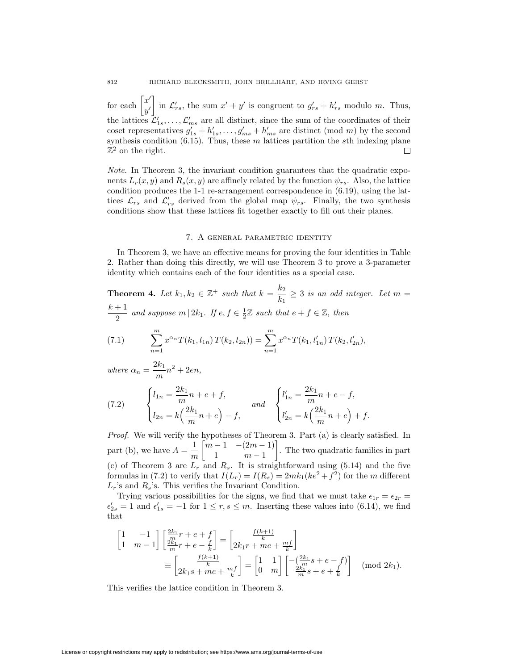for each  $\begin{bmatrix} x' \\ y \end{bmatrix}$ in  $\mathcal{L}'_{rs}$ , the sum  $x' + y'$  is congruent to  $g'_{rs} + h'_{rs}$  modulo *m*. Thus, *y0* the lattices  $\mathcal{L}'_{1s}, \ldots, \mathcal{L}'_{ms}$  are all distinct, since the sum of the coordinates of their coset representatives  $g'_{1s} + h'_{1s}, \ldots, g'_{ms} + h'_{ms}$  are distinct (mod *m*) by the second synthesis condition (6.15). Thus, these *m* lattices partition the *s*th indexing plane  $\mathbb{Z}^2$  on the right.  $\Box$ 

*Note.* In Theorem 3, the invariant condition guarantees that the quadratic exponents  $L_r(x, y)$  and  $R_s(x, y)$  are affinely related by the function  $\psi_{rs}$ . Also, the lattice condition produces the 1-1 re-arrangement correspondence in (6.19), using the lattices  $\mathcal{L}_{rs}$  and  $\mathcal{L}'_{rs}$  derived from the global map  $\psi_{rs}$ . Finally, the two synthesis conditions show that these lattices fit together exactly to fill out their planes.

## 7. A general parametric identity

In Theorem 3, we have an effective means for proving the four identities in Table 2. Rather than doing this directly, we will use Theorem 3 to prove a 3-parameter identity which contains each of the four identities as a special case.

**Theorem 4.** Let  $k_1, k_2 \in \mathbb{Z}^+$  such that  $k = \frac{k_2}{k_1} \geq 3$  is an odd integer. Let  $m =$  $\frac{k+1}{2}$  *and suppose*  $m | 2k_1$ *. If*  $e, f \in \frac{1}{2}\mathbb{Z}$  *such that*  $e + f \in \mathbb{Z}$ *, then* X*m n*=1  $x^{\alpha_n} T(k_1, l_{1n}) T(k_2, l_{2n}) = \sum_{n=1}^{m}$ *n*=1  $\sum x^{\alpha_n} T(k_1, l_{1n}) T(k_2, l_{2n}) = \sum x^{\alpha_n} T(k_1, l'_{1n}) T(k_2, l'_{2n}),$ 

*where*  $\alpha_n = \frac{2k_1}{m}n^2 + 2en$ ,

(7.2) 
$$
\begin{cases} l_{1n} = \frac{2k_1}{m}n + e + f, \\ l_{2n} = k\left(\frac{2k_1}{m}n + e\right) - f, \end{cases} and \begin{cases} l'_{1n} = \frac{2k_1}{m}n + e - f, \\ l'_{2n} = k\left(\frac{2k_1}{m}n + e\right) + f. \end{cases}
$$

*Proof.* We will verify the hypotheses of Theorem 3. Part (a) is clearly satisfied. In part (b), we have  $A = \frac{1}{m}$  $\lceil m-1 \ -(2m-1) \rceil$ 1 *m −* 1 . The two quadratic families in part (c) of Theorem 3 are  $L_r$  and  $R_s$ . It is straightforward using (5.14) and the five formulas in (7.2) to verify that  $I(L_r) = I(R_s) = 2mk_1(ke^2 + f^2)$  for the *m* different  $L_r$ 's and  $R_s$ 's. This verifies the Invariant Condition.

Trying various possibilities for the signs, we find that we must take  $\epsilon_{1r} = \epsilon_{2r}$  $\epsilon'_{2s} = 1$  and  $\epsilon'_{1s} = -1$  for  $1 \le r, s \le m$ . Inserting these values into (6.14), we find that

$$
\begin{bmatrix} 1 & -1 \ 1 & m-1 \end{bmatrix} \begin{bmatrix} \frac{2k_1}{m}r + e + f \ \frac{2k_1}{m}r + e - \frac{f}{k} \end{bmatrix} = \begin{bmatrix} \frac{f(k+1)}{k} \\ 2k_1r + me + \frac{mf}{k} \end{bmatrix}
$$

$$
\equiv \begin{bmatrix} \frac{f(k+1)}{k} \\ 2k_1s + me + \frac{mf}{k} \end{bmatrix} = \begin{bmatrix} 1 & 1 \\ 0 & m \end{bmatrix} \begin{bmatrix} -\left(\frac{2k_1}{m}s + e - f\right) \\ \frac{2k_1}{m}s + e + \frac{f}{k} \end{bmatrix} \pmod{2k_1}.
$$

This verifies the lattice condition in Theorem 3.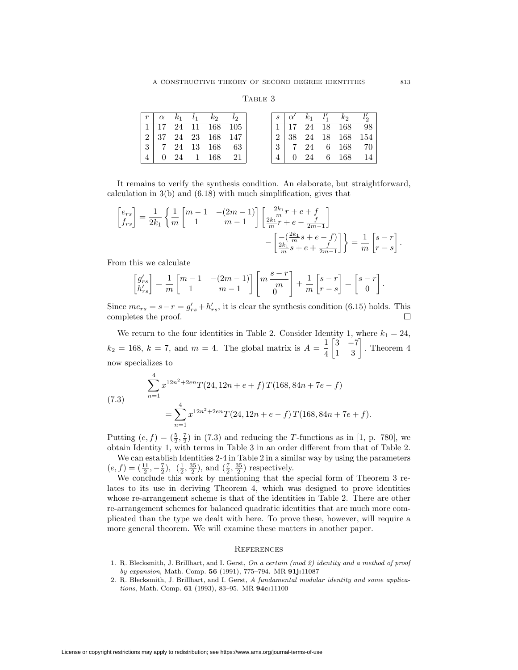### TABLE 3

|  |  | $ r  \alpha k_1 l_1 k_2 l_2  $                         |  |
|--|--|--------------------------------------------------------|--|
|  |  | $1 \mid 17 \quad 24 \quad 11 \quad 168 \quad 105 \mid$ |  |
|  |  | $2 \mid 37 \mid 24 \mid 23 \mid 168 \mid 147 \mid$     |  |
|  |  | $3 \mid 7 \quad 24 \quad 13 \quad 168 \quad 63$        |  |
|  |  | $0\quad 24\quad 1\quad 168\quad 21$                    |  |

It remains to verify the synthesis condition. An elaborate, but straightforward, calculation in 3(b) and (6.18) with much simplification, gives that

$$
\begin{bmatrix} e_{rs} \\ f_{rs} \end{bmatrix} = \frac{1}{2k_1} \left\{ \frac{1}{m} \begin{bmatrix} m-1 & -(2m-1) \\ 1 & m-1 \end{bmatrix} \begin{bmatrix} \frac{2k_1}{m}r + e + f \\ \frac{2k_1}{m}r + e - \frac{f}{2m-1} \end{bmatrix} - \begin{bmatrix} \frac{2k_1}{m}s + e - f \\ \frac{2k_1}{m}s + e + \frac{f}{2m-1} \end{bmatrix} \right\} = \frac{1}{m} \begin{bmatrix} s-r \\ r-s \end{bmatrix}.
$$

From this we calculate

$$
\begin{bmatrix} g'_{rs} \\ h'_{rs} \end{bmatrix} = \frac{1}{m} \begin{bmatrix} m-1 & -(2m-1) \\ 1 & m-1 \end{bmatrix} \begin{bmatrix} m\, \frac{s-r}{m} \\ 0 \end{bmatrix} + \frac{1}{m} \begin{bmatrix} s-r \\ r-s \end{bmatrix} = \begin{bmatrix} s-r \\ 0 \end{bmatrix}
$$

Since  $me_{rs} = s - r = g'_{rs} + h'_{rs}$ , it is clear the synthesis condition (6.15) holds. This completes the proof.  $\Box$ 

We return to the four identities in Table 2. Consider Identity 1, where  $k_1 = 24$ ,  $k_2 = 168, k = 7, \text{ and } m = 4.$  The global matrix is  $A = \frac{1}{4}$  $\begin{bmatrix} 3 & -7 \\ 1 & 3 \end{bmatrix}$ . Theorem 4 now specializes to

(7.3) 
$$
\sum_{n=1}^{4} x^{12n^2 + 2en} T(24, 12n + e + f) T(168, 84n + 7e - f)
$$

$$
= \sum_{n=1}^{4} x^{12n^2 + 2en} T(24, 12n + e - f) T(168, 84n + 7e + f).
$$

Putting  $(e, f) = (\frac{5}{2}, \frac{7}{2})$  in (7.3) and reducing the *T*-functions as in [1, p. 780], we obtain Identity 1, with terms in Table 3 in an order different from that of Table 2.

We can establish Identities 2-4 in Table 2 in a similar way by using the parameters  $(e, f) = (\frac{11}{2}, -\frac{7}{2}), ( \frac{1}{2}, \frac{35}{2}), \text{ and } (\frac{7}{2}, \frac{35}{2})$  respectively.

We conclude this work by mentioning that the special form of Theorem 3 relates to its use in deriving Theorem 4, which was designed to prove identities whose re-arrangement scheme is that of the identities in Table 2. There are other re-arrangement schemes for balanced quadratic identities that are much more complicated than the type we dealt with here. To prove these, however, will require a more general theorem. We will examine these matters in another paper.

### **REFERENCES**

- 1. R. Blecksmith, J. Brillhart, and I. Gerst, *On a certain (mod 2) identity and a method of proof by expansion*, Math. Comp. **56** (1991), 775–794. MR **91j:**11087
- 2. R. Blecksmith, J. Brillhart, and I. Gerst, *A fundamental modular identity and some applications*, Math. Comp. **61** (1993), 83–95. MR **94c:**11100

*.*